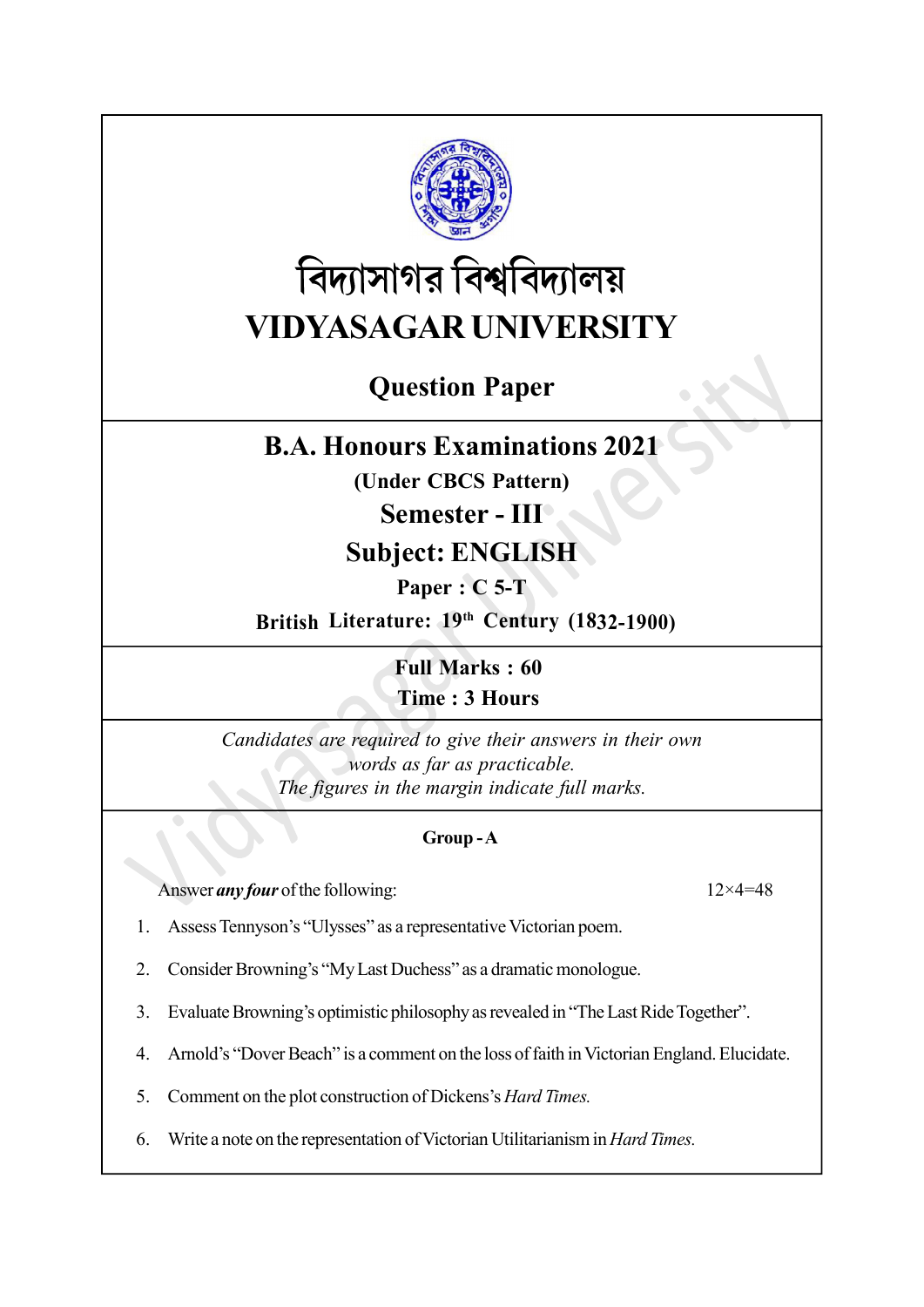

# বিদ্যাসাগর বিশ্ববিদ্যালয় VIDYASAGAR UNIVERSITY

# Question Paper

## B.A. Honours Examinations 2021

(Under CBCS Pattern)

### Semester - III

## Subject: ENGLISH

Paper : C 5-T

British Literature: 19th Century (1832-1900)

Full Marks : 60 Time : 3 Hours

Candidates are required to give their answers in their own words as far as practicable. The figures in the margin indicate full marks.

#### Group - A

Answer *any four* of the following: 12×4=48

- 1. Assess Tennyson's "Ulysses" as a representative Victorian poem.
- 2. Consider Browning's "My Last Duchess" as a dramatic monologue.
- 3. Evaluate Browning's optimistic philosophy as revealed in "The Last Ride Together".
- 4. Arnold's "Dover Beach" is a comment on the loss of faith in Victorian England. Elucidate.
- 5. Comment on the plot construction of Dickens's Hard Times.
- 6. Write a note on the representation of Victorian Utilitarianism in Hard Times.